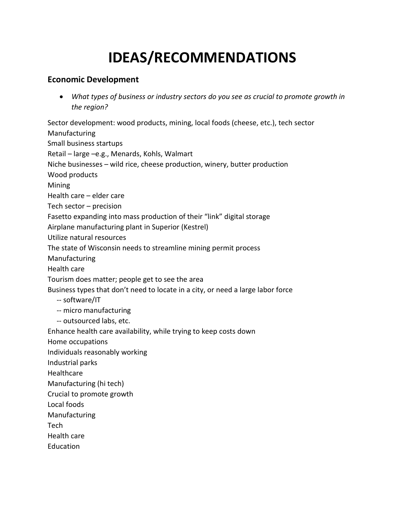## **IDEAS/RECOMMENDATIONS**

## **Economic Development**

• *What types of business or industry sectors do you see as crucial to promote growth in the region?*

Sector development: wood products, mining, local foods (cheese, etc.), tech sector Manufacturing Small business startups Retail – large –e.g., Menards, Kohls, Walmart Niche businesses – wild rice, cheese production, winery, butter production Wood products Mining Health care – elder care Tech sector – precision Fasetto expanding into mass production of their "link" digital storage Airplane manufacturing plant in Superior (Kestrel) Utilize natural resources The state of Wisconsin needs to streamline mining permit process Manufacturing Health care Tourism does matter; people get to see the area Business types that don't need to locate in a city, or need a large labor force -- software/IT -- micro manufacturing -- outsourced labs, etc. Enhance health care availability, while trying to keep costs down Home occupations Individuals reasonably working Industrial parks Healthcare Manufacturing (hi tech) Crucial to promote growth Local foods Manufacturing

Tech

Health care

Education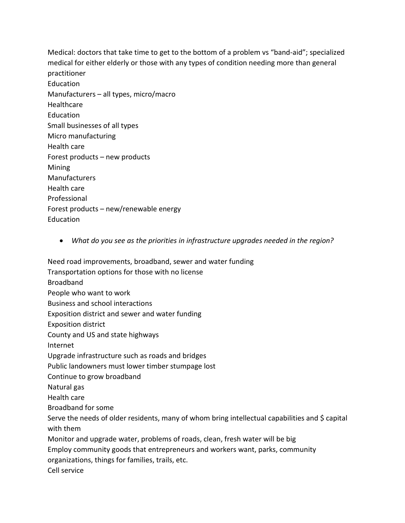Medical: doctors that take time to get to the bottom of a problem vs "band-aid"; specialized medical for either elderly or those with any types of condition needing more than general practitioner Education Manufacturers – all types, micro/macro **Healthcare Education** Small businesses of all types Micro manufacturing Health care Forest products – new products Mining Manufacturers Health care Professional Forest products – new/renewable energy Education

• *What do you see as the priorities in infrastructure upgrades needed in the region?*

Need road improvements, broadband, sewer and water funding Transportation options for those with no license Broadband People who want to work Business and school interactions Exposition district and sewer and water funding Exposition district County and US and state highways Internet Upgrade infrastructure such as roads and bridges Public landowners must lower timber stumpage lost Continue to grow broadband Natural gas Health care Broadband for some Serve the needs of older residents, many of whom bring intellectual capabilities and \$ capital with them Monitor and upgrade water, problems of roads, clean, fresh water will be big Employ community goods that entrepreneurs and workers want, parks, community organizations, things for families, trails, etc. Cell service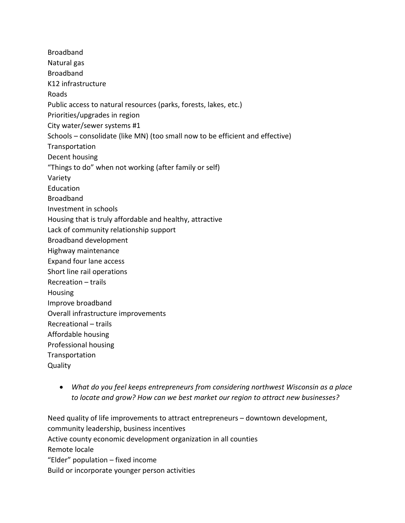Broadband Natural gas Broadband K12 infrastructure Roads Public access to natural resources (parks, forests, lakes, etc.) Priorities/upgrades in region City water/sewer systems #1 Schools – consolidate (like MN) (too small now to be efficient and effective) **Transportation** Decent housing "Things to do" when not working (after family or self) Variety Education Broadband Investment in schools Housing that is truly affordable and healthy, attractive Lack of community relationship support Broadband development Highway maintenance Expand four lane access Short line rail operations Recreation – trails Housing Improve broadband Overall infrastructure improvements Recreational – trails Affordable housing Professional housing Transportation **Quality** 

• *What do you feel keeps entrepreneurs from considering northwest Wisconsin as a place to locate and grow? How can we best market our region to attract new businesses?*

Need quality of life improvements to attract entrepreneurs – downtown development, community leadership, business incentives Active county economic development organization in all counties Remote locale "Elder" population – fixed income Build or incorporate younger person activities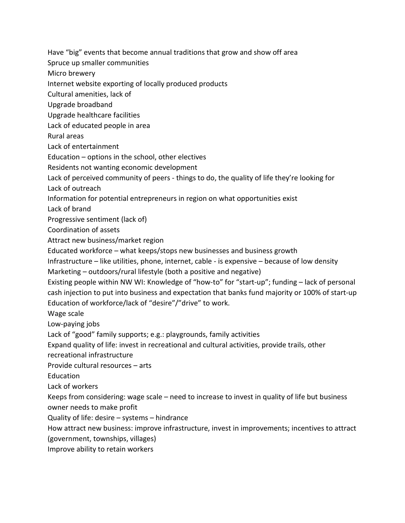Have "big" events that become annual traditions that grow and show off area

Spruce up smaller communities

Micro brewery

Internet website exporting of locally produced products

Cultural amenities, lack of

Upgrade broadband

Upgrade healthcare facilities

Lack of educated people in area

Rural areas

Lack of entertainment

Education – options in the school, other electives

Residents not wanting economic development

Lack of perceived community of peers - things to do, the quality of life they're looking for

Lack of outreach

Information for potential entrepreneurs in region on what opportunities exist

Lack of brand

Progressive sentiment (lack of)

Coordination of assets

Attract new business/market region

Educated workforce – what keeps/stops new businesses and business growth

Infrastructure – like utilities, phone, internet, cable - is expensive – because of low density

Marketing – outdoors/rural lifestyle (both a positive and negative)

Existing people within NW WI: Knowledge of "how-to" for "start-up"; funding – lack of personal cash injection to put into business and expectation that banks fund majority or 100% of start-up Education of workforce/lack of "desire"/"drive" to work.

Wage scale

Low-paying jobs

Lack of "good" family supports; e.g.: playgrounds, family activities

Expand quality of life: invest in recreational and cultural activities, provide trails, other

recreational infrastructure

Provide cultural resources – arts

Education

Lack of workers

Keeps from considering: wage scale – need to increase to invest in quality of life but business owner needs to make profit

Quality of life: desire – systems – hindrance

How attract new business: improve infrastructure, invest in improvements; incentives to attract (government, townships, villages)

Improve ability to retain workers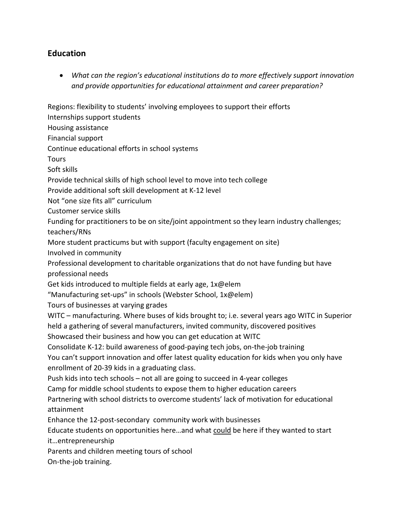## **Education**

• *What can the region's educational institutions do to more effectively support innovation and provide opportunities for educational attainment and career preparation?*

Regions: flexibility to students' involving employees to support their efforts

Internships support students

Housing assistance

Financial support

Continue educational efforts in school systems

**Tours** 

Soft skills

Provide technical skills of high school level to move into tech college

Provide additional soft skill development at K-12 level

Not "one size fits all" curriculum

Customer service skills

Funding for practitioners to be on site/joint appointment so they learn industry challenges; teachers/RNs

More student practicums but with support (faculty engagement on site)

Involved in community

Professional development to charitable organizations that do not have funding but have professional needs

Get kids introduced to multiple fields at early age, 1x@elem

"Manufacturing set-ups" in schools (Webster School, 1x@elem)

Tours of businesses at varying grades

WITC – manufacturing. Where buses of kids brought to; i.e. several years ago WITC in Superior held a gathering of several manufacturers, invited community, discovered positives

Showcased their business and how you can get education at WITC

Consolidate K-12: build awareness of good-paying tech jobs, on-the-job training

You can't support innovation and offer latest quality education for kids when you only have enrollment of 20-39 kids in a graduating class.

Push kids into tech schools – not all are going to succeed in 4-year colleges

Camp for middle school students to expose them to higher education careers

Partnering with school districts to overcome students' lack of motivation for educational attainment

Enhance the 12-post-secondary community work with businesses

Educate students on opportunities here…and what could be here if they wanted to start

it…entrepreneurship

Parents and children meeting tours of school

On-the-job training.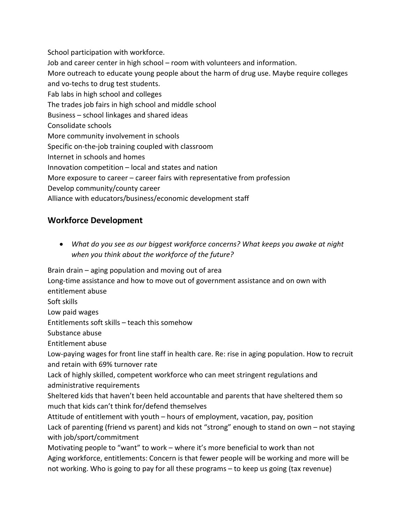School participation with workforce. Job and career center in high school – room with volunteers and information. More outreach to educate young people about the harm of drug use. Maybe require colleges and vo-techs to drug test students. Fab labs in high school and colleges The trades job fairs in high school and middle school Business – school linkages and shared ideas Consolidate schools More community involvement in schools Specific on-the-job training coupled with classroom Internet in schools and homes Innovation competition – local and states and nation More exposure to career – career fairs with representative from profession Develop community/county career Alliance with educators/business/economic development staff

## **Workforce Development**

• *What do you see as our biggest workforce concerns? What keeps you awake at night when you think about the workforce of the future?*

Brain drain – aging population and moving out of area

Long-time assistance and how to move out of government assistance and on own with

entitlement abuse

Soft skills

Low paid wages

Entitlements soft skills – teach this somehow

Substance abuse

Entitlement abuse

Low-paying wages for front line staff in health care. Re: rise in aging population. How to recruit and retain with 69% turnover rate

Lack of highly skilled, competent workforce who can meet stringent regulations and administrative requirements

Sheltered kids that haven't been held accountable and parents that have sheltered them so much that kids can't think for/defend themselves

Attitude of entitlement with youth – hours of employment, vacation, pay, position Lack of parenting (friend vs parent) and kids not "strong" enough to stand on own – not staying with job/sport/commitment

Motivating people to "want" to work – where it's more beneficial to work than not Aging workforce, entitlements: Concern is that fewer people will be working and more will be not working. Who is going to pay for all these programs – to keep us going (tax revenue)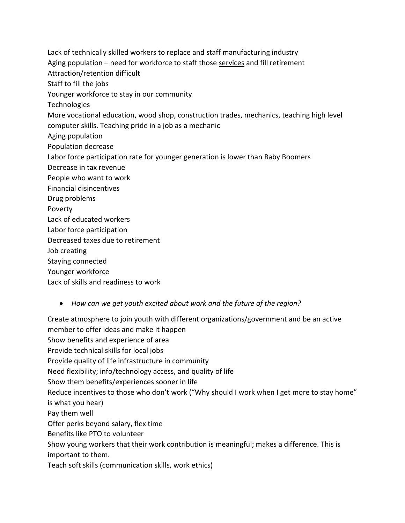Lack of technically skilled workers to replace and staff manufacturing industry Aging population – need for workforce to staff those services and fill retirement Attraction/retention difficult Staff to fill the jobs Younger workforce to stay in our community **Technologies** More vocational education, wood shop, construction trades, mechanics, teaching high level computer skills. Teaching pride in a job as a mechanic Aging population Population decrease Labor force participation rate for younger generation is lower than Baby Boomers Decrease in tax revenue People who want to work Financial disincentives Drug problems Poverty Lack of educated workers Labor force participation Decreased taxes due to retirement Job creating Staying connected Younger workforce Lack of skills and readiness to work

• *How can we get youth excited about work and the future of the region?*

Create atmosphere to join youth with different organizations/government and be an active member to offer ideas and make it happen Show benefits and experience of area Provide technical skills for local jobs Provide quality of life infrastructure in community Need flexibility; info/technology access, and quality of life Show them benefits/experiences sooner in life Reduce incentives to those who don't work ("Why should I work when I get more to stay home" is what you hear) Pay them well Offer perks beyond salary, flex time Benefits like PTO to volunteer Show young workers that their work contribution is meaningful; makes a difference. This is important to them. Teach soft skills (communication skills, work ethics)